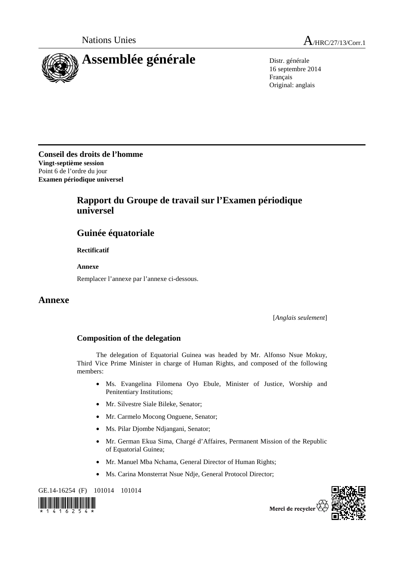

Nations Unies A<sub>/HRC/27/13/Corr.1</sub>

16 septembre 2014 Français Original: anglais

**Conseil des droits de l'homme Vingt-septième session** Point 6 de l'ordre du jour **Examen périodique universel** 

## **Rapport du Groupe de travail sur l'Examen périodique universel**

## **Guinée équatoriale**

 **Rectificatif** 

 **Annexe** 

Remplacer l'annexe par l'annexe ci-dessous.

## **Annexe**

[*Anglais seulement*]

## **Composition of the delegation**

The delegation of Equatorial Guinea was headed by Mr. Alfonso Nsue Mokuy, Third Vice Prime Minister in charge of Human Rights, and composed of the following members:

- Ms. Evangelina Filomena Oyo Ebule, Minister of Justice, Worship and Penitentiary Institutions;
- Mr. Silvestre Siale Bileke, Senator;
- Mr. Carmelo Mocong Onguene, Senator;
- Ms. Pilar Djombe Ndjangani, Senator;
- Mr. German Ekua Sima, Chargé d'Affaires, Permanent Mission of the Republic of Equatorial Guinea;
- Mr. Manuel Mba Nchama, General Director of Human Rights;
- Ms. Carina Monsterrat Nsue Ndje, General Protocol Director;

GE.14-16254 (F) 101014 101014